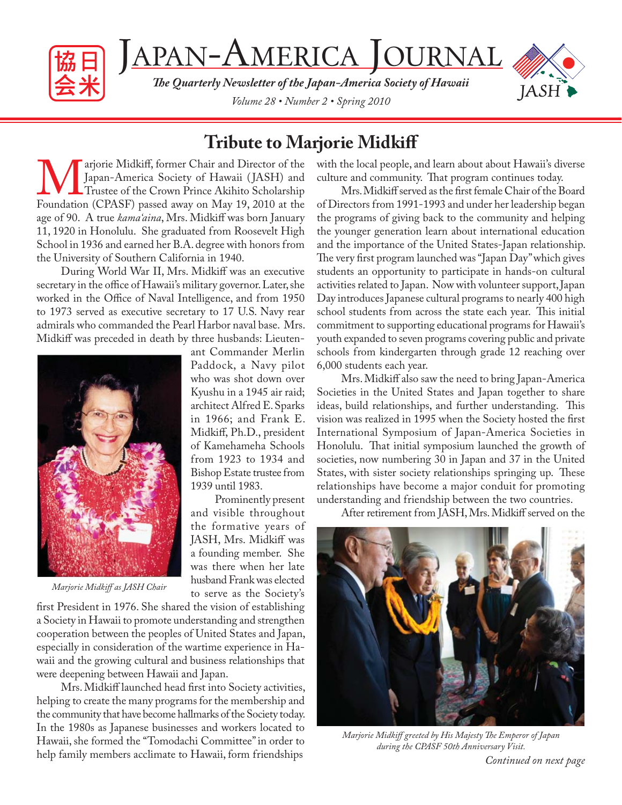

JAPAN-AMERICA JOURNAL

**The Quarterly Newsletter of the Japan-America Society of Hawaii** *Volume 28 • Number 2 • Spring 2010*



### **Tribute to Marjorie Midkiff**

Marjorie Midkiff, former Chair and Director of the Japan-America Society of Hawaii (JASH) and Trustee of the Crown Prince Akihito Scholarship Foundation (CPASF) passed away on May 19, 2010 at the Japan-America Society of Hawaii ( JASH) and Trustee of the Crown Prince Akihito Scholarship age of 90. A true *kama'aina*, Mrs. Midkiff was born January 11, 1920 in Honolulu. She graduated from Roosevelt High School in 1936 and earned her B.A. degree with honors from the University of Southern California in 1940.

During World War II, Mrs. Midkiff was an executive secretary in the office of Hawaii's military governor. Later, she worked in the Office of Naval Intelligence, and from 1950 to 1973 served as executive secretary to 17 U.S. Navy rear admirals who commanded the Pearl Harbor naval base. Mrs. Midkiff was preceded in death by three husbands: Lieuten-

> ant Commander Merlin Paddock, a Navy pilot who was shot down over Kyushu in a 1945 air raid; architect Alfred E. Sparks in 1966; and Frank E. Midkiff, Ph.D., president of Kamehameha Schools from 1923 to 1934 and Bishop Estate trustee from

1939 until 1983.

Prominently present and visible throughout the formative years of JASH, Mrs. Midkiff was a founding member. She was there when her late husband Frank was elected to serve as the Society's



*Marjorie Midkiff as JASH Chair*

first President in 1976. She shared the vision of establishing a Society in Hawaii to promote understanding and strengthen cooperation between the peoples of United States and Japan, especially in consideration of the wartime experience in Hawaii and the growing cultural and business relationships that were deepening between Hawaii and Japan.

Mrs. Midkiff launched head first into Society activities, helping to create the many programs for the membership and the community that have become hallmarks of the Society today. In the 1980s as Japanese businesses and workers located to Hawaii, she formed the "Tomodachi Committee" in order to help family members acclimate to Hawaii, form friendships

with the local people, and learn about about Hawaii's diverse culture and community. That program continues today.

Mrs. Midkiff served as the first female Chair of the Board of Directors from 1991-1993 and under her leadership began the programs of giving back to the community and helping the younger generation learn about international education and the importance of the United States-Japan relationship. The very first program launched was "Japan Day" which gives students an opportunity to participate in hands-on cultural activities related to Japan. Now with volunteer support, Japan Day introduces Japanese cultural programs to nearly 400 high school students from across the state each year. This initial commitment to supporting educational programs for Hawaii's youth expanded to seven programs covering public and private schools from kindergarten through grade 12 reaching over 6,000 students each year.

Mrs. Midkiff also saw the need to bring Japan-America Societies in the United States and Japan together to share ideas, build relationships, and further understanding. This vision was realized in 1995 when the Society hosted the first International Symposium of Japan-America Societies in Honolulu. That initial symposium launched the growth of societies, now numbering 30 in Japan and 37 in the United States, with sister society relationships springing up. These relationships have become a major conduit for promoting understanding and friendship between the two countries.

After retirement from JASH, Mrs. Midkiff served on the



*Continued on next page Marjorie Midkiff greeted by His Majesty The Emperor of Japan during the CPASF 50th Anniversary Visit.*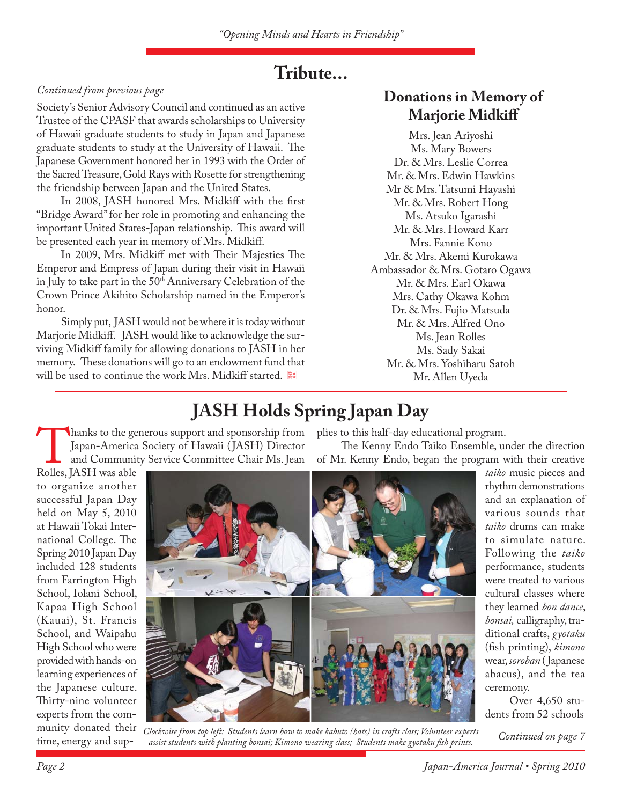### **Tribute...**

#### *Continued from previous page*

Society's Senior Advisory Council and continued as an active Trustee of the CPASF that awards scholarships to University of Hawaii graduate students to study in Japan and Japanese graduate students to study at the University of Hawaii. The Japanese Government honored her in 1993 with the Order of the Sacred Treasure, Gold Rays with Rosette for strengthening the friendship between Japan and the United States.

In 2008, JASH honored Mrs. Midkiff with the first "Bridge Award" for her role in promoting and enhancing the important United States-Japan relationship. This award will be presented each year in memory of Mrs. Midkiff.

In 2009, Mrs. Midkiff met with Their Majesties The Emperor and Empress of Japan during their visit in Hawaii in July to take part in the 50<sup>th</sup> Anniversary Celebration of the Crown Prince Akihito Scholarship named in the Emperor's honor.

Simply put, JASH would not be where it is today without Marjorie Midkiff. JASH would like to acknowledge the surviving Midkiff family for allowing donations to JASH in her memory. These donations will go to an endowment fund that will be used to continue the work Mrs. Midkiff started.

### **Donations in Memory of Marjorie Midkiff**

Mrs. Jean Ariyoshi Ms. Mary Bowers Dr. & Mrs. Leslie Correa Mr. & Mrs. Edwin Hawkins Mr & Mrs. Tatsumi Hayashi Mr. & Mrs. Robert Hong Ms. Atsuko Igarashi Mr. & Mrs. Howard Karr Mrs. Fannie Kono Mr. & Mrs. Akemi Kurokawa Ambassador & Mrs. Gotaro Ogawa Mr. & Mrs. Earl Okawa Mrs. Cathy Okawa Kohm Dr. & Mrs. Fujio Matsuda Mr. & Mrs. Alfred Ono Ms. Jean Rolles Ms. Sady Sakai Mr. & Mrs. Yoshiharu Satoh Mr. Allen Uyeda

The Kenny Endo Taiko Ensemble, under the direction

plies to this half-day educational program.

# **JASH Holds Spring Japan Day**

Thanks to the generous support and sponsorship from<br>Japan-America Society of Hawaii (JASH) Director<br>and Community Service Committee Chair Ms. Jean<br>Rolles, JASH was able Japan-America Society of Hawaii ( JASH) Director and Community Service Committee Chair Ms. Jean

Rolles, JASH was able to organize another successful Japan Day held on May 5, 2010 at Hawaii Tokai International College. The Spring 2010 Japan Day included 128 students from Farrington High School, Iolani School, Kapaa High School (Kauai), St. Francis School, and Waipahu High School who were provided with hands-on learning experiences of the Japanese culture. Thirty-nine volunteer experts from the comtime, energy and sup-



munity donated their *Clockwise from top left: Students learn how to make kabuto (hats) in crafts class; Volunteer experts assist students with planting bonsai; Kimono wearing class; Students make gyotaku fi sh prints. Continued on page 7*

of Mr. Kenny Endo, began the program with their creative *taiko* music pieces and rhythm demonstrations and an explanation of various sounds that *taiko* drums can make to simulate nature. Following the *taiko*  performance, students were treated to various cultural classes where they learned *bon dance*, *bonsai,* calligraphy, traditional crafts, *gyotaku*  (fish printing), *kimono* wear, *soroban* (Japanese abacus), and the tea ceremony.

Over 4,650 students from 52 schools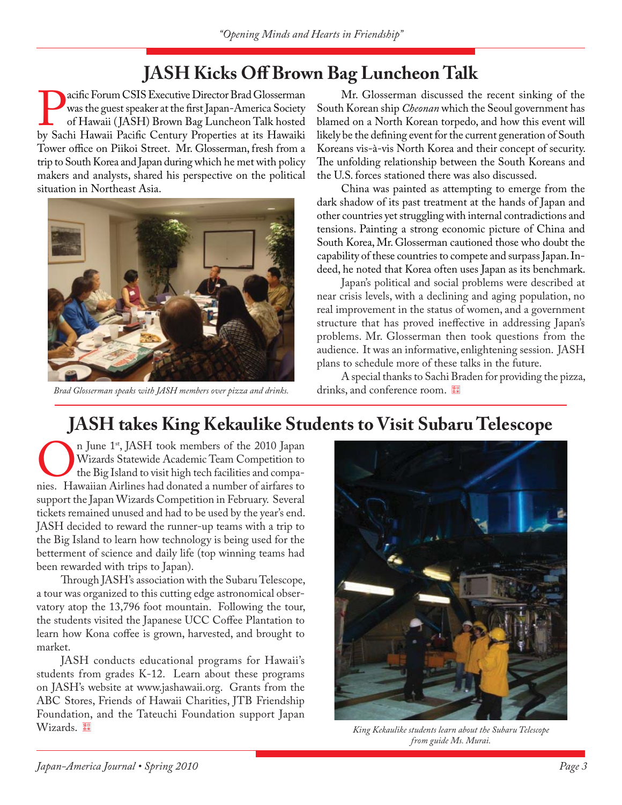# **JASH Kicks Off Brown Bag Luncheon Talk**

**Pacific Forum CSIS Executive Director Brad Glosserman** was the guest speaker at the first Japan-America Society of Hawaii (JASH) Brown Bag Luncheon Talk hosted by Sachi Hawaii Pacific Century Properties at its Hawaiki was the guest speaker at the first Japan-America Society of Hawaii ( JASH) Brown Bag Luncheon Talk hosted Tower office on Piikoi Street. Mr. Glosserman, fresh from a trip to South Korea and Japan during which he met with policy makers and analysts, shared his perspective on the political situation in Northeast Asia.



*Brad Glosserman speaks with JASH members over pizza and drinks.* drinks, and conference room.

Mr. Glosserman discussed the recent sinking of the South Korean ship *Cheonan* which the Seoul government has blamed on a North Korean torpedo, and how this event will likely be the defining event for the current generation of South Koreans vis-à-vis North Korea and their concept of security. The unfolding relationship between the South Koreans and the U.S. forces stationed there was also discussed.

China was painted as attempting to emerge from the dark shadow of its past treatment at the hands of Japan and other countries yet struggling with internal contradictions and tensions. Painting a strong economic picture of China and South Korea, Mr. Glosserman cautioned those who doubt the capability of these countries to compete and surpass Japan. Indeed, he noted that Korea often uses Japan as its benchmark.

Japan's political and social problems were described at near crisis levels, with a declining and aging population, no real improvement in the status of women, and a government structure that has proved ineffective in addressing Japan's problems. Mr. Glosserman then took questions from the audience. It was an informative, enlightening session. JASH plans to schedule more of these talks in the future.

A special thanks to Sachi Braden for providing the pizza,

# **JASH takes King Kekaulike Students to Visit Subaru Telescope**

On June 1<sup>st</sup>, JASH took members of the 2010 Japan Wizards Statewide Academic Team Competition to the Big Island to visit high tech facilities and companies. Hawaiian Airlines had donated a number of airfares to Wizards Statewide Academic Team Competition to the Big Island to visit high tech facilities and compasupport the Japan Wizards Competition in February. Several tickets remained unused and had to be used by the year's end. JASH decided to reward the runner-up teams with a trip to the Big Island to learn how technology is being used for the betterment of science and daily life (top winning teams had been rewarded with trips to Japan).

Through JASH's association with the Subaru Telescope, a tour was organized to this cutting edge astronomical observatory atop the 13,796 foot mountain. Following the tour, the students visited the Japanese UCC Coffee Plantation to learn how Kona coffee is grown, harvested, and brought to market.

JASH conducts educational programs for Hawaii's students from grades K-12. Learn about these programs on JASH's website at www.jashawaii.org. Grants from the ABC Stores, Friends of Hawaii Charities, JTB Friendship Foundation, and the Tateuchi Foundation support Japan Wizards. <sup>**King Kekaulike students learn about the Subaru Telescope** *King Kekaulike students learn about the Subaru Telescope*</sup>



*from guide Ms. Murai.*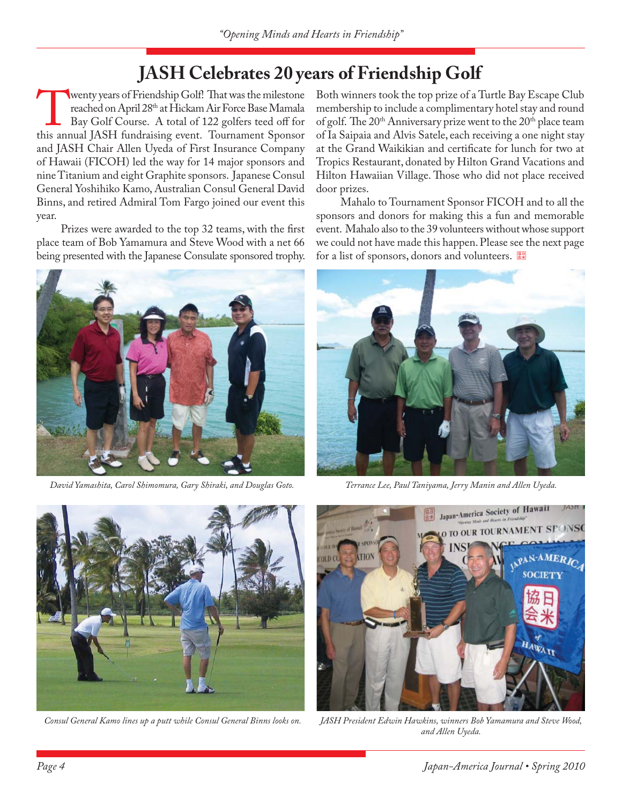# **JASH Celebrates 20 years of Friendship Golf**

wenty years of Friendship Golf! That was the milestone reached on April 28<sup>th</sup> at Hickam Air Force Base Mamala Bay Golf Course. A total of 122 golfers teed off for this annual JASH fundraising event. Tournament Sponsor reached on April 28<sup>th</sup> at Hickam Air Force Base Mamala Bay Golf Course. A total of 122 golfers teed off for and JASH Chair Allen Uyeda of First Insurance Company of Hawaii (FICOH) led the way for 14 major sponsors and nine Titanium and eight Graphite sponsors. Japanese Consul General Yoshihiko Kamo, Australian Consul General David Binns, and retired Admiral Tom Fargo joined our event this year.

Prizes were awarded to the top 32 teams, with the first place team of Bob Yamamura and Steve Wood with a net 66 being presented with the Japanese Consulate sponsored trophy.



*David Yamashita, Carol Shimomura, Gary Shiraki, and Douglas Goto. Terrance Lee, Paul Taniyama, Jerry Manin and Allen Uyeda.*

Both winners took the top prize of a Turtle Bay Escape Club membership to include a complimentary hotel stay and round of golf. The 20<sup>th</sup> Anniversary prize went to the 20<sup>th</sup> place team of Ia Saipaia and Alvis Satele, each receiving a one night stay at the Grand Waikikian and certificate for lunch for two at Tropics Restaurant, donated by Hilton Grand Vacations and Hilton Hawaiian Village. Those who did not place received door prizes.

Mahalo to Tournament Sponsor FICOH and to all the sponsors and donors for making this a fun and memorable event. Mahalo also to the 39 volunteers without whose support we could not have made this happen. Please see the next page for a list of sponsors, donors and volunteers.





*Consul General Kamo lines up a putt while Consul General Binns looks on.* 



*JASH President Edwin Hawkins, winners Bob Yamamura and Steve Wood, and Allen Uyeda.*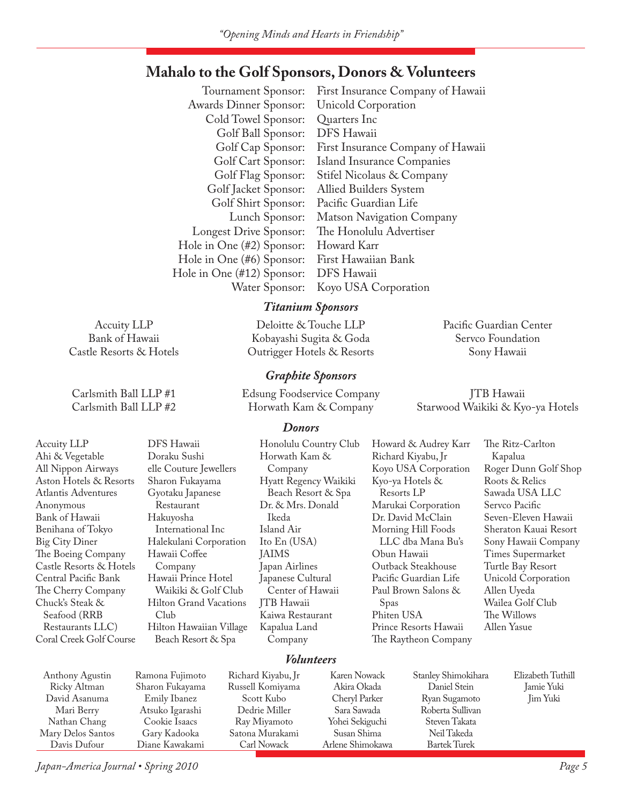### **Mahalo to the Golf Sponsors, Donors & Volunteers**

 Tournament Sponsor: First Insurance Company of Hawaii Awards Dinner Sponsor: Unicold Corporation Cold Towel Sponsor: Quarters Inc Golf Ball Sponsor: DFS Hawaii Golf Cap Sponsor: First Insurance Company of Hawaii Golf Cart Sponsor: Island Insurance Companies Golf Flag Sponsor: Stifel Nicolaus & Company Golf Jacket Sponsor: Allied Builders System Golf Shirt Sponsor: Pacific Guardian Life Lunch Sponsor: Matson Navigation Company Longest Drive Sponsor: The Honolulu Advertiser Hole in One (#2) Sponsor: Howard Karr Hole in One (#6) Sponsor: First Hawaiian Bank Hole in One (#12) Sponsor: DFS Hawaii Water Sponsor: Koyo USA Corporation

#### *Titanium Sponsors*

Deloitte & Touche LLP Kobayashi Sugita & Goda Outrigger Hotels & Resorts

#### *Graphite Sponsors*

Edsung Foodservice Company Horwath Kam & Company

Sony Hawaii

Pacific Guardian Center Servco Foundation

JTB Hawaii Starwood Waikiki & Kyo-ya Hotels

#### *Donors*

Accuity LLP Ahi & Vegetable All Nippon Airways Aston Hotels & Resorts Atlantis Adventures Anonymous Bank of Hawaii Benihana of Tokyo Big City Diner The Boeing Company Castle Resorts & Hotels Central Pacific Bank The Cherry Company Chuck's Steak & Seafood (RRB Restaurants LLC) Coral Creek Golf Course DFS Hawaii Doraku Sushi elle Couture Jewellers Sharon Fukayama Gyotaku Japanese Restaurant Hakuyosha International Inc Halekulani Corporation Hawaii Coffee Company Hawaii Prince Hotel Waikiki & Golf Club Hilton Grand Vacations Club Hilton Hawaiian Village Beach Resort & Spa Honolulu Country Club Horwath Kam & Company Hyatt Regency Waikiki Beach Resort & Spa Dr. & Mrs. Donald Ikeda Island Air Ito En (USA) JAIMS Japan Airlines Japanese Cultural Center of Hawaii JTB Hawaii Kaiwa Restaurant Kapalua Land Company Howard & Audrey Karr Richard Kiyabu, Jr Koyo USA Corporation Kyo-ya Hotels & Resorts LP Marukai Corporation Dr. David McClain Morning Hill Foods LLC dba Mana Bu's Obun Hawaii Outback Steakhouse Pacific Guardian Life Paul Brown Salons & Spas Phiten USA Prince Resorts Hawaii The Raytheon Company The Ritz-Carlton Kapalua Roger Dunn Golf Shop Roots & Relics Sawada USA LLC Servco Pacific Seven-Eleven Hawaii Sheraton Kauai Resort Sony Hawaii Company Times Supermarket Turtle Bay Resort Unicold Corporation Allen Uyeda Wailea Golf Club The Willows Allen Yasue

#### *Volunteers*

| Anthony Agustin<br>Ricky Altman | Ramona Fujimoto<br>Sharon Fukayama | Richard Kiyabu, Jr<br>Russell Komiyama | Karen Nowack<br>Akira Okada | Stanley Shimokihara<br>Daniel Stein | Elizabeth Tuthill<br>Jamie Yuki |
|---------------------------------|------------------------------------|----------------------------------------|-----------------------------|-------------------------------------|---------------------------------|
| David Asanuma                   | Emily Ibanez                       | Scott Kubo                             | Cheryl Parker               | Ryan Sugamoto                       | <b>Jim Yuki</b>                 |
| Mari Berry                      | Atsuko Igarashi                    | Dedrie Miller                          | Sara Sawada                 | Roberta Sullivan                    |                                 |
| Nathan Chang                    | Cookie Isaacs                      | Ray Miyamoto                           | Yohei Sekiguchi             | Steven Takata                       |                                 |
| Mary Delos Santos               | Gary Kadooka                       | Satona Murakami                        | Susan Shima                 | Neil Takeda                         |                                 |
| Davis Dufour                    | Diane Kawakami                     | Carl Nowack                            | Arlene Shimokawa            | <b>Bartek Turek</b>                 |                                 |

*Japan-America Journal • Spring 2010 Page 5*

Accuity LLP Bank of Hawaii Castle Resorts & Hotels

Carlsmith Ball LLP #1 Carlsmith Ball LLP #2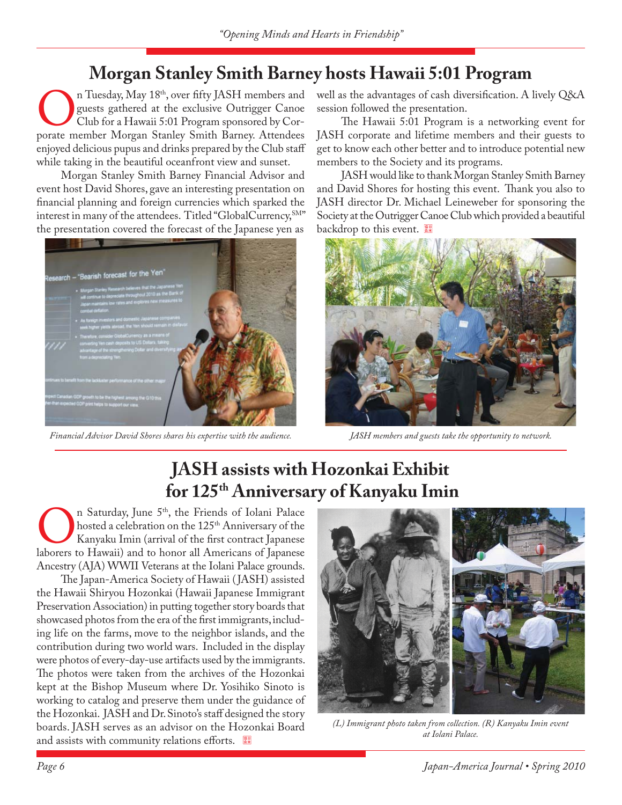### **Morgan Stanley Smith Barney hosts Hawaii 5:01 Program**

On Tuesday, May 18<sup>th</sup>, over fifty JASH members and guests gathered at the exclusive Outrigger Canoe Club for a Hawaii 5:01 Program sponsored by Corporate member Morgan Stanley Smith Barney. Attendees guests gathered at the exclusive Outrigger Canoe Club for a Hawaii 5:01 Program sponsored by Corenjoyed delicious pupus and drinks prepared by the Club staff while taking in the beautiful oceanfront view and sunset.

Morgan Stanley Smith Barney Financial Advisor and event host David Shores, gave an interesting presentation on financial planning and foreign currencies which sparked the interest in many of the attendees. Titled "GlobalCurrency, SM" the presentation covered the forecast of the Japanese yen as



*Financial Advisor David Shores shares his expertise with the audience. JASH members and guests take the opportunity to network.*

well as the advantages of cash diversification. A lively Q&A session followed the presentation.

The Hawaii 5:01 Program is a networking event for JASH corporate and lifetime members and their guests to get to know each other better and to introduce potential new members to the Society and its programs.

JASH would like to thank Morgan Stanley Smith Barney and David Shores for hosting this event. Thank you also to JASH director Dr. Michael Leineweber for sponsoring the Society at the Outrigger Canoe Club which provided a beautiful backdrop to this event.



### **JASH assists with Hozonkai Exhibit for 125th Anniversary of Kanyaku Imin**

On Saturday, June 5<sup>th</sup>, the Friends of Iolani Palace hosted a celebration on the 125<sup>th</sup> Anniversary of the Kanyaku Imin (arrival of the first contract Japanese laborers to Hawaii) and to honor all Americans of Japanese hosted a celebration on the 125<sup>th</sup> Anniversary of the Kanyaku Imin (arrival of the first contract Japanese Ancestry (AJA) WWII Veterans at the Iolani Palace grounds.

The Japan-America Society of Hawaii (JASH) assisted the Hawaii Shiryou Hozonkai (Hawaii Japanese Immigrant Preservation Association) in putting together story boards that showcased photos from the era of the first immigrants, including life on the farms, move to the neighbor islands, and the contribution during two world wars. Included in the display were photos of every-day-use artifacts used by the immigrants. The photos were taken from the archives of the Hozonkai kept at the Bishop Museum where Dr. Yosihiko Sinoto is working to catalog and preserve them under the guidance of the Hozonkai. JASH and Dr. Sinoto's staff designed the story boards. JASH serves as an advisor on the Hozonkai Board and assists with community relations efforts.  $\frac{120}{24}$ 



*(L) Immigrant photo taken from collection. (R) Kanyaku Imin event at Iolani Palace.*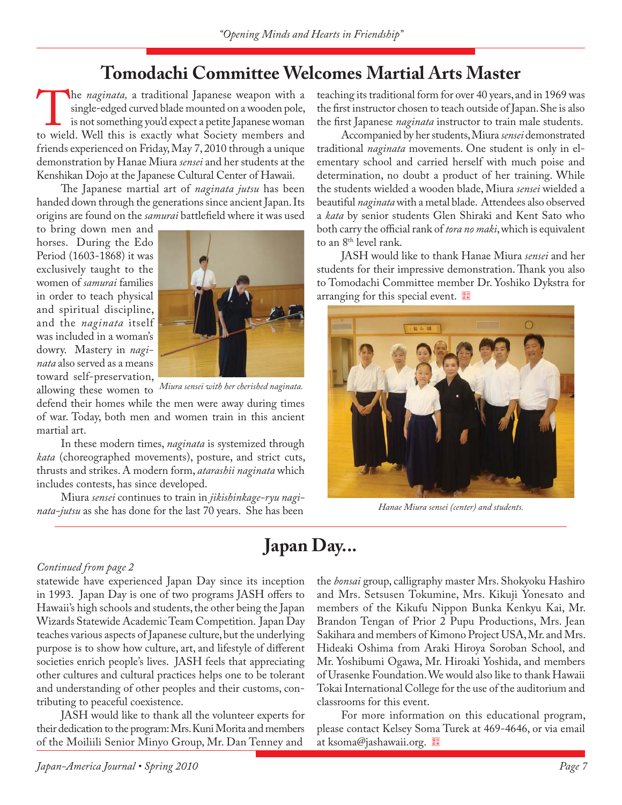### **Tomodachi Committee Welcomes Martial Arts Master**

The *naginata*, a traditional Japanese weapon with a single-edged curved blade mounted on a wooden pole, is not something you'd expect a petite Japanese woman to wield. Well this is exactly what Society members and single-edged curved blade mounted on a wooden pole, is not something you'd expect a petite Japanese woman friends experienced on Friday, May 7, 2010 through a unique demonstration by Hanae Miura *sensei* and her students at the Kenshikan Dojo at the Japanese Cultural Center of Hawaii.

The Japanese martial art of *naginata jutsu* has been handed down through the generations since ancient Japan. Its origins are found on the *samurai* battlefield where it was used

to bring down men and horses. During the Edo Period (1603-1868) it was exclusively taught to the women of *samurai* families in order to teach physical and spiritual discipline, and the *naginata* itself was included in a woman's dowry. Mastery in *naginata* also served as a means toward self-preservation,



allowing these women to *Miura sensei with her cherished naginata.*

defend their homes while the men were away during times of war. Today, both men and women train in this ancient martial art.

In these modern times, *naginata* is systemized through *kata* (choreographed movements), posture, and strict cuts, thrusts and strikes. A modern form, *atarashii naginata* which includes contests, has since developed.

Miura *sensei* continues to train in *jikishinkage-ryu naginata-jutsu* as she has done for the last 70 years. She has been

teaching its traditional form for over 40 years, and in 1969 was the first instructor chosen to teach outside of Japan. She is also the first Japanese *naginata* instructor to train male students.

Accompanied by her students, Miura *sensei* demonstrated traditional *naginata* movements. One student is only in elementary school and carried herself with much poise and determination, no doubt a product of her training. While the students wielded a wooden blade, Miura *sensei* wielded a beautiful *naginata* with a metal blade. Attendees also observed a *kata* by senior students Glen Shiraki and Kent Sato who both carry the official rank of *tora no maki*, which is equivalent to an 8<sup>th</sup> level rank.

JASH would like to thank Hanae Miura *sensei* and her students for their impressive demonstration. Thank you also to Tomodachi Committee member Dr. Yoshiko Dykstra for arranging for this special event.



*Hanae Miura sensei (center) and students.*

# **Japan Day...**

#### *Continued from page 2*

statewide have experienced Japan Day since its inception in 1993. Japan Day is one of two programs JASH offers to Hawaii's high schools and students, the other being the Japan Wizards Statewide Academic Team Competition. Japan Day teaches various aspects of Japanese culture, but the underlying purpose is to show how culture, art, and lifestyle of different societies enrich people's lives. JASH feels that appreciating other cultures and cultural practices helps one to be tolerant and understanding of other peoples and their customs, contributing to peaceful coexistence.

JASH would like to thank all the volunteer experts for their dedication to the program: Mrs. Kuni Morita and members of the Moiliili Senior Minyo Group, Mr. Dan Tenney and

the *bonsai* group, calligraphy master Mrs. Shokyoku Hashiro and Mrs. Setsusen Tokumine, Mrs. Kikuji Yonesato and members of the Kikufu Nippon Bunka Kenkyu Kai, Mr. Brandon Tengan of Prior 2 Pupu Productions, Mrs. Jean Sakihara and members of Kimono Project USA, Mr. and Mrs. Hideaki Oshima from Araki Hiroya Soroban School, and Mr. Yoshibumi Ogawa, Mr. Hiroaki Yoshida, and members of Urasenke Foundation. We would also like to thank Hawaii Tokai International College for the use of the auditorium and classrooms for this event.

For more information on this educational program, please contact Kelsey Soma Turek at 469-4646, or via email at ksoma@jashawaii.org.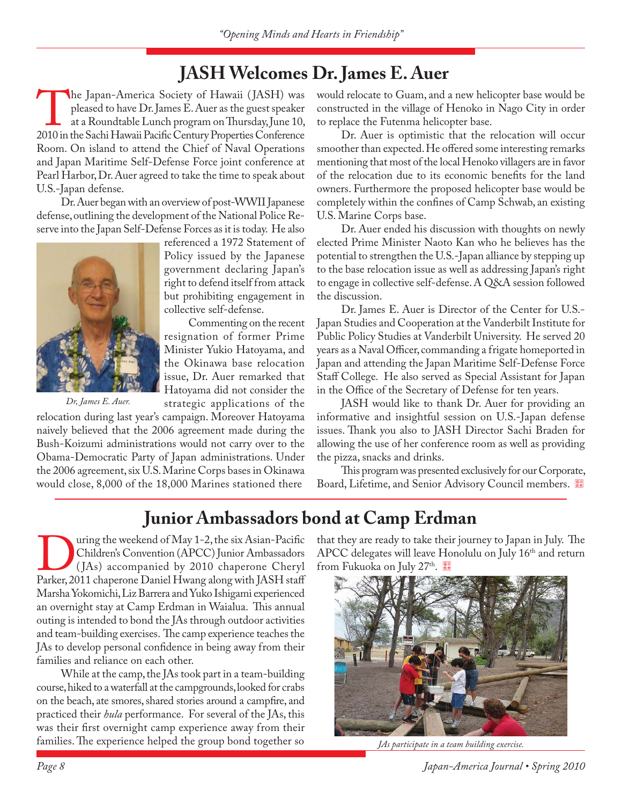### **JASH Welcomes Dr. James E. Auer**

The Japan-America Society of Hawaii (JASH) was pleased to have Dr. James E. Auer as the guest speaker at a Roundtable Lunch program on Thursday, June 10, 2010 in the Sachi Hawaii Pacific Century Properties Conference pleased to have Dr. James E. Auer as the guest speaker at a Roundtable Lunch program on Thursday, June 10, Room. On island to attend the Chief of Naval Operations and Japan Maritime Self-Defense Force joint conference at Pearl Harbor, Dr. Auer agreed to take the time to speak about U.S.-Japan defense.

Dr. Auer began with an overview of post-WWII Japanese defense, outlining the development of the National Police Reserve into the Japan Self-Defense Forces as it is today. He also



*Dr, James E. Auer.*

referenced a 1972 Statement of Policy issued by the Japanese government declaring Japan's right to defend itself from attack but prohibiting engagement in collective self-defense.

Commenting on the recent resignation of former Prime Minister Yukio Hatoyama, and the Okinawa base relocation issue, Dr. Auer remarked that Hatoyama did not consider the

strategic applications of the

relocation during last year's campaign. Moreover Hatoyama naively believed that the 2006 agreement made during the Bush-Koizumi administrations would not carry over to the Obama-Democratic Party of Japan administrations. Under the 2006 agreement, six U.S. Marine Corps bases in Okinawa would close, 8,000 of the 18,000 Marines stationed there

would relocate to Guam, and a new helicopter base would be constructed in the village of Henoko in Nago City in order to replace the Futenma helicopter base.

Dr. Auer is optimistic that the relocation will occur smoother than expected. He offered some interesting remarks mentioning that most of the local Henoko villagers are in favor of the relocation due to its economic benefits for the land owners. Furthermore the proposed helicopter base would be completely within the confines of Camp Schwab, an existing U.S. Marine Corps base.

Dr. Auer ended his discussion with thoughts on newly elected Prime Minister Naoto Kan who he believes has the potential to strengthen the U.S.-Japan alliance by stepping up to the base relocation issue as well as addressing Japan's right to engage in collective self-defense. A Q&A session followed the discussion.

Dr. James E. Auer is Director of the Center for U.S.- Japan Studies and Cooperation at the Vanderbilt Institute for Public Policy Studies at Vanderbilt University. He served 20 years as a Naval Officer, commanding a frigate homeported in Japan and attending the Japan Maritime Self-Defense Force Staff College. He also served as Special Assistant for Japan in the Office of the Secretary of Defense for ten years.

JASH would like to thank Dr. Auer for providing an informative and insightful session on U.S.-Japan defense issues. Thank you also to JASH Director Sachi Braden for allowing the use of her conference room as well as providing the pizza, snacks and drinks.

This program was presented exclusively for our Corporate, Board, Lifetime, and Senior Advisory Council members.

### **Junior Ambassadors bond at Camp Erdman**

United States (Hay 1-2, the six Asian-Pacific Children's Convention (APCC) Junior Ambassadors<br>
(JAs) accompanied by 2010 chaperone Cheryl<br>
Parker, 2011 chaperone Daniel Hwang along with JASH staff Children's Convention (APCC) Junior Ambassadors ( JAs) accompanied by 2010 chaperone Cheryl Marsha Yokomichi, Liz Barrera and Yuko Ishigami experienced an overnight stay at Camp Erdman in Waialua. This annual outing is intended to bond the JAs through outdoor activities and team-building exercises. The camp experience teaches the JAs to develop personal confidence in being away from their families and reliance on each other.

While at the camp, the JAs took part in a team-building course, hiked to a waterfall at the campgrounds, looked for crabs on the beach, ate smores, shared stories around a campfire, and practiced their *hula* performance. For several of the JAs, this was their first overnight camp experience away from their families. The experience helped the group bond together so *JAs participate in a team building exercise*.

that they are ready to take their journey to Japan in July. The APCC delegates will leave Honolulu on July 16<sup>th</sup> and return from Fukuoka on July 27<sup>th</sup>.



*Page 8 Japan-America Journal • Spring 2010*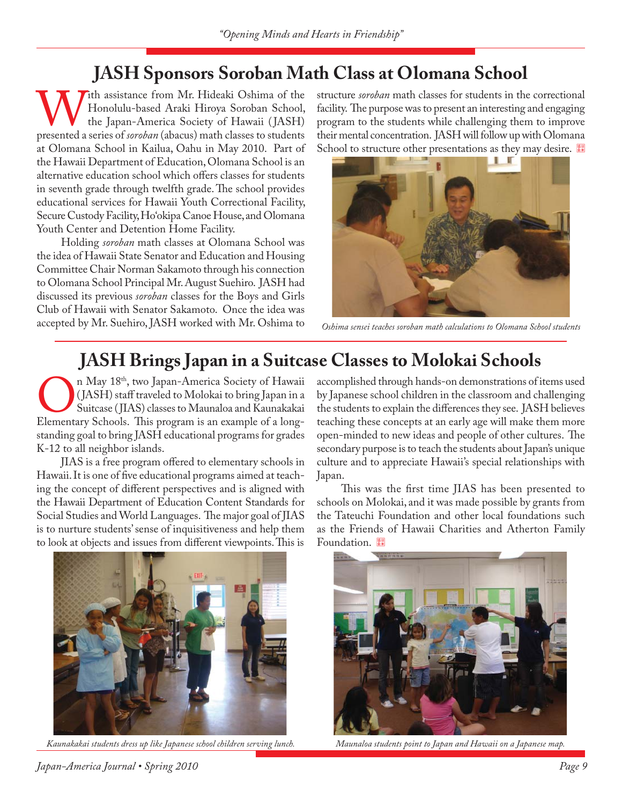### **JASH Sponsors Soroban Math Class at Olomana School**

With assistance from Mr. Hideaki Oshima of the Honolulu-based Araki Hiroya Soroban School, the Japan-America Society of Hawaii (JASH) presented a series of *soroban* (abacus) math classes to students Honolulu-based Araki Hiroya Soroban School, the Japan-America Society of Hawaii ( JASH) at Olomana School in Kailua, Oahu in May 2010. Part of the Hawaii Department of Education, Olomana School is an alternative education school which offers classes for students in seventh grade through twelfth grade. The school provides educational services for Hawaii Youth Correctional Facility, Secure Custody Facility, Ho'okipa Canoe House, and Olomana Youth Center and Detention Home Facility.

Holding *soroban* math classes at Olomana School was the idea of Hawaii State Senator and Education and Housing Committee Chair Norman Sakamoto through his connection to Olomana School Principal Mr. August Suehiro. JASH had discussed its previous *soroban* classes for the Boys and Girls Club of Hawaii with Senator Sakamoto. Once the idea was accepted by Mr. Suehiro, JASH worked with Mr. Oshima to

structure *soroban* math classes for students in the correctional facility. The purpose was to present an interesting and engaging program to the students while challenging them to improve their mental concentration. JASH will follow up with Olomana School to structure other presentations as they may desire.



*Oshima sensei teaches soroban math calculations to Olomana School students*

## **JASH Brings Japan in a Suitcase Classes to Molokai Schools**

On May 18<sup>th</sup>, two Japan-America Society of Hawaii (JASH) staff traveled to Molokai to bring Japan in a Suitcase (JIAS) classes to Maunaloa and Kaunakakai Elementary Schools. This program is an example of a long-( JASH) staff traveled to Molokai to bring Japan in a Suitcase (JIAS) classes to Maunaloa and Kaunakakai standing goal to bring JASH educational programs for grades K-12 to all neighbor islands.

JIAS is a free program offered to elementary schools in Hawaii. It is one of five educational programs aimed at teaching the concept of different perspectives and is aligned with the Hawaii Department of Education Content Standards for Social Studies and World Languages. The major goal of JIAS is to nurture students' sense of inquisitiveness and help them to look at objects and issues from different viewpoints. This is

accomplished through hands-on demonstrations of items used by Japanese school children in the classroom and challenging the students to explain the differences they see. JASH believes teaching these concepts at an early age will make them more open-minded to new ideas and people of other cultures. The secondary purpose is to teach the students about Japan's unique culture and to appreciate Hawaii's special relationships with Japan.

This was the first time JIAS has been presented to schools on Molokai, and it was made possible by grants from the Tateuchi Foundation and other local foundations such as the Friends of Hawaii Charities and Atherton Family Foundation.



*Kaunakakai students dress up like Japanese school children serving lunch. Maunaloa students point to Japan and Hawaii on a Japanese map.*



*Japan-America Journal • Spring 2010 Page 9*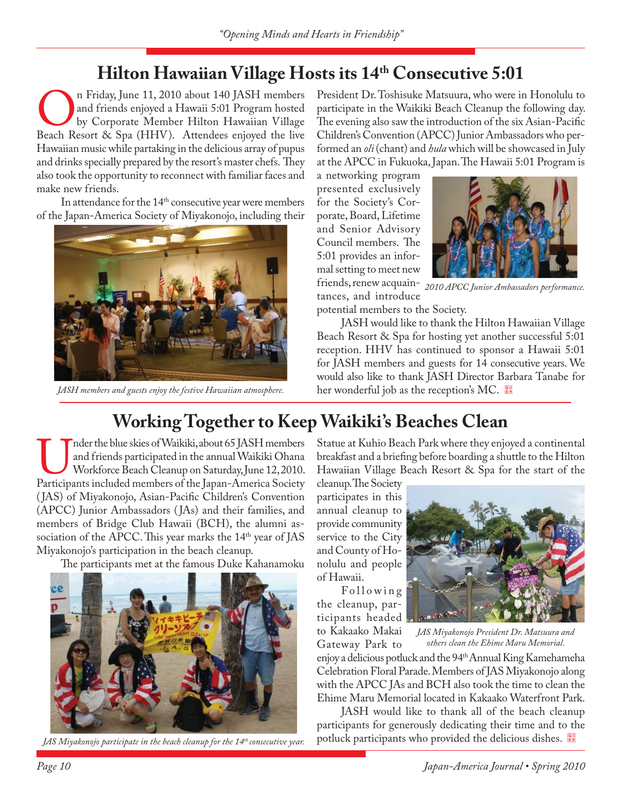## **Hilton Hawaiian Village Hosts its 14th Consecutive 5:01**

On Friday, June 11, 2010 about 140 JASH members<br>
and friends enjoyed a Hawaii 5:01 Program hosted<br>
Beach Resort & Spa (HHV). Attendees enjoyed the live and friends enjoyed a Hawaii 5:01 Program hosted by Corporate Member Hilton Hawaiian Village Hawaiian music while partaking in the delicious array of pupus and drinks specially prepared by the resort's master chefs. They also took the opportunity to reconnect with familiar faces and make new friends.

In attendance for the 14<sup>th</sup> consecutive year were members of the Japan-America Society of Miyakonojo, including their



*JASH members and guests enjoy the festive Hawaiian atmosphere.*

President Dr. Toshisuke Matsuura, who were in Honolulu to participate in the Waikiki Beach Cleanup the following day. The evening also saw the introduction of the six Asian-Pacific Children's Convention (APCC) Junior Ambassadors who performed an *oli* (chant) and *hula* which will be showcased in July at the APCC in Fukuoka, Japan. The Hawaii 5:01 Program is

a networking program presented exclusively for the Society's Corporate, Board, Lifetime and Senior Advisory Council members. The 5:01 provides an informal setting to meet new

tances, and introduce



friends, renew acquain-*2010 APCC Junior Ambassadors performance.*

potential members to the Society.

JASH would like to thank the Hilton Hawaiian Village Beach Resort & Spa for hosting yet another successful 5:01 reception. HHV has continued to sponsor a Hawaii 5:01 for JASH members and guests for 14 consecutive years. We would also like to thank JASH Director Barbara Tanabe for her wonderful job as the reception's MC.

# **Working Together to Keep Waikiki's Beaches Clean**

Imder the blue skies of Waikiki, about 65 JASH members<br>and friends participated in the annual Waikiki Ohana<br>Workforce Beach Cleanup on Saturday, June 12, 2010.<br>Participants included members of the Japan-America Society and friends participated in the annual Waikiki Ohana Workforce Beach Cleanup on Saturday, June 12, 2010. (JAS) of Miyakonojo, Asian-Pacific Children's Convention (APCC) Junior Ambassadors ( JAs) and their families, and members of Bridge Club Hawaii (BCH), the alumni association of the APCC. This year marks the 14<sup>th</sup> year of JAS Miyakonojo's participation in the beach cleanup.

The participants met at the famous Duke Kahanamoku



*JAS Miyakonojo participate in the beach cleanup for the 14th consecutive year.*

Statue at Kuhio Beach Park where they enjoyed a continental breakfast and a briefing before boarding a shuttle to the Hilton Hawaiian Village Beach Resort & Spa for the start of the

cleanup. The Society participates in this annual cleanup to provide community service to the City and County of Honolulu and people of Hawaii.

Following the cleanup, participants headed

to Kakaako Makai Gateway Park to



*JAS Miyakonojo President Dr. Matsuura and others clean the Ehime Maru Memorial.*

enjoy a delicious potluck and the 94<sup>th</sup> Annual King Kamehameha Celebration Floral Parade. Members of JAS Miyakonojo along with the APCC JAs and BCH also took the time to clean the Ehime Maru Memorial located in Kakaako Waterfront Park.

JASH would like to thank all of the beach cleanup participants for generously dedicating their time and to the potluck participants who provided the delicious dishes.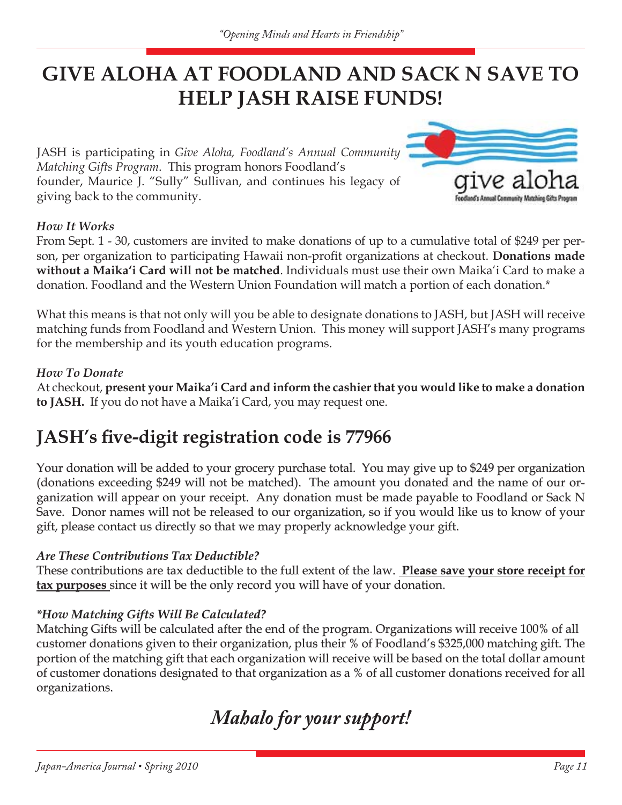# **GIVE ALOHA AT FOODLAND AND SACK N SAVE TO HELP JASH RAISE FUNDS!**

JASH is participating in *Give Aloha, Foodland's Annual Community Matching Gifts Program*. This program honors Foodland's founder, Maurice J. "Sully" Sullivan, and continues his legacy of giving back to the community.



### *How It Works*

From Sept. 1 - 30, customers are invited to make donations of up to a cumulative total of \$249 per person, per organization to participating Hawaii non-profit organizations at checkout. Donations made **without a Maika'i Card will not be matched**. Individuals must use their own Maika'i Card to make a donation. Foodland and the Western Union Foundation will match a portion of each donation.\*

What this means is that not only will you be able to designate donations to JASH, but JASH will receive matching funds from Foodland and Western Union. This money will support JASH's many programs for the membership and its youth education programs.

### *How To Donate*

At checkout, **present your Maika'i Card and inform the cashier that you would like to make a donation to JASH.** If you do not have a Maika'i Card, you may request one.

### **JASH's five-digit registration code is 77966**

Your donation will be added to your grocery purchase total. You may give up to \$249 per organization (donations exceeding \$249 will not be matched). The amount you donated and the name of our organization will appear on your receipt. Any donation must be made payable to Foodland or Sack N Save. Donor names will not be released to our organization, so if you would like us to know of your gift, please contact us directly so that we may properly acknowledge your gift.

### *Are These Contributions Tax Deductible?*

These contributions are tax deductible to the full extent of the law. Please save your store receipt for **tax purposes** since it will be the only record you will have of your donation.

### *\*How Matching Gifts Will Be Calculated? How Matching Gifts Will Be*

Matching Gifts will be calculated after the end of the program. Organizations will receive 100% of all customer donations given to their organization, plus their % of Foodland's \$325,000 matching gift. The portion of the matching gift that each organization will receive will be based on the total dollar amount of customer donations designated to that organization as a % of all customer donations received for all organizations.

*Mahalo for your support!*